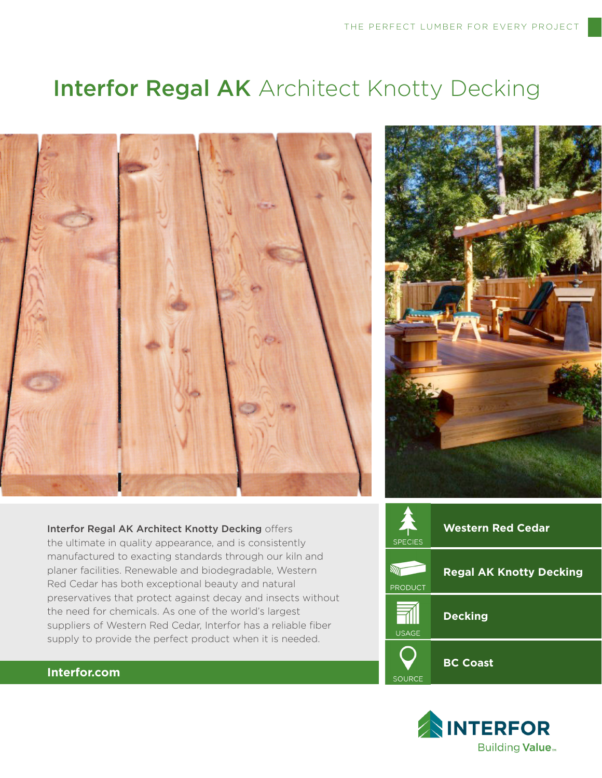# **Interfor Regal AK** Architect Knotty Decking





Interfor Regal AK Architect Knotty Decking offers the ultimate in quality appearance, and is consistently manufactured to exacting standards through our kiln and planer facilities. Renewable and biodegradable, Western Red Cedar has both exceptional beauty and natural preservatives that protect against decay and insects without the need for chemicals. As one of the world's largest suppliers of Western Red Cedar, Interfor has a reliable fiber supply to provide the perfect product when it is needed.





## **Interfor.com**